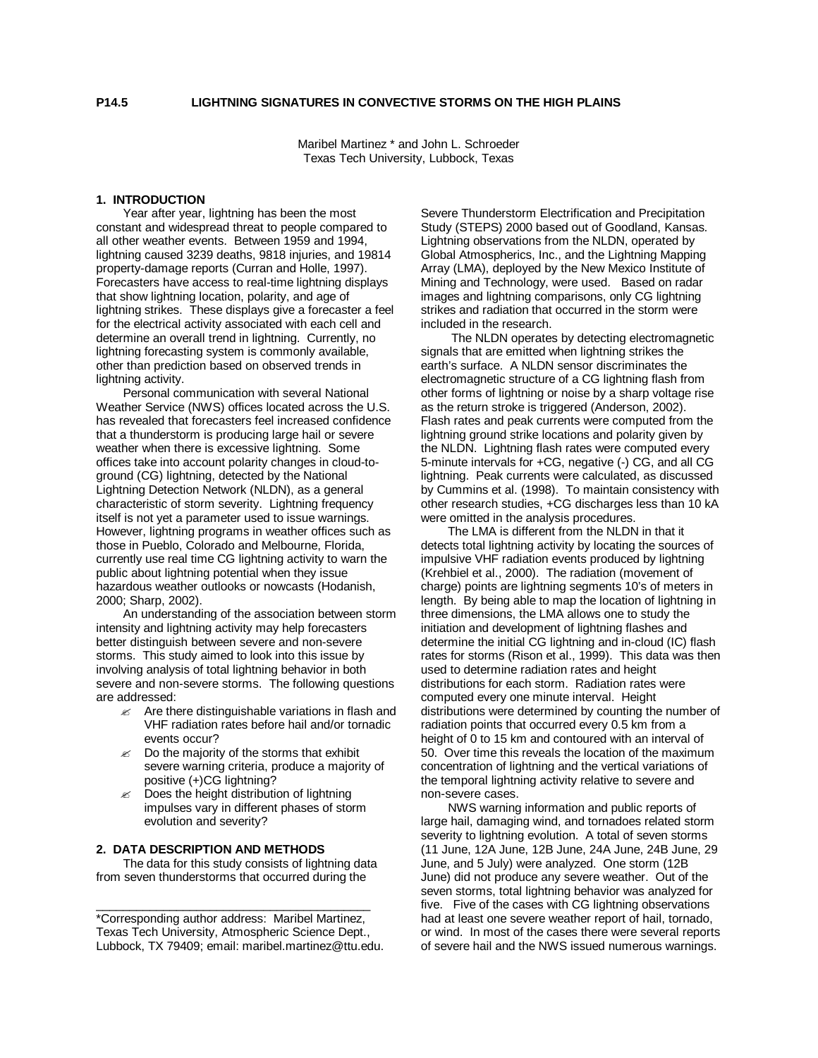Maribel Martinez \* and John L. Schroeder Texas Tech University, Lubbock, Texas

#### **1. INTRODUCTION**

 Year after year, lightning has been the most constant and widespread threat to people compared to all other weather events. Between 1959 and 1994, lightning caused 3239 deaths, 9818 injuries, and 19814 property-damage reports (Curran and Holle, 1997). Forecasters have access to real-time lightning displays that show lightning location, polarity, and age of lightning strikes. These displays give a forecaster a feel for the electrical activity associated with each cell and determine an overall trend in lightning. Currently, no lightning forecasting system is commonly available, other than prediction based on observed trends in lightning activity.

 Personal communication with several National Weather Service (NWS) offices located across the U.S. has revealed that forecasters feel increased confidence that a thunderstorm is producing large hail or severe weather when there is excessive lightning. Some offices take into account polarity changes in cloud-toground (CG) lightning, detected by the National Lightning Detection Network (NLDN), as a general characteristic of storm severity. Lightning frequency itself is not yet a parameter used to issue warnings. However, lightning programs in weather offices such as those in Pueblo, Colorado and Melbourne, Florida, currently use real time CG lightning activity to warn the public about lightning potential when they issue hazardous weather outlooks or nowcasts (Hodanish, 2000; Sharp, 2002).

 An understanding of the association between storm intensity and lightning activity may help forecasters better distinguish between severe and non-severe storms. This study aimed to look into this issue by involving analysis of total lightning behavior in both severe and non-severe storms. The following questions are addressed:

- $\mathscr{A}$  Are there distinguishable variations in flash and VHF radiation rates before hail and/or tornadic events occur?
- $\mathscr{A}$  Do the majority of the storms that exhibit severe warning criteria, produce a majority of positive (+)CG lightning?
- $\mathscr Z$  Does the height distribution of lightning impulses vary in different phases of storm evolution and severity?

# **2. DATA DESCRIPTION AND METHODS**

 The data for this study consists of lightning data from seven thunderstorms that occurred during the

\_\_\_\_\_\_\_\_\_\_\_\_\_\_\_\_\_\_\_\_\_\_\_\_\_\_\_\_\_\_\_\_\_\_\_\_\_\_\_\_\_

Severe Thunderstorm Electrification and Precipitation Study (STEPS) 2000 based out of Goodland, Kansas. Lightning observations from the NLDN, operated by Global Atmospherics, Inc., and the Lightning Mapping Array (LMA), deployed by the New Mexico Institute of Mining and Technology, were used. Based on radar images and lightning comparisons, only CG lightning strikes and radiation that occurred in the storm were included in the research.

 The NLDN operates by detecting electromagnetic signals that are emitted when lightning strikes the earth's surface. A NLDN sensor discriminates the electromagnetic structure of a CG lightning flash from other forms of lightning or noise by a sharp voltage rise as the return stroke is triggered (Anderson, 2002). Flash rates and peak currents were computed from the lightning ground strike locations and polarity given by the NLDN. Lightning flash rates were computed every 5-minute intervals for +CG, negative (-) CG, and all CG lightning. Peak currents were calculated, as discussed by Cummins et al. (1998). To maintain consistency with other research studies, +CG discharges less than 10 kA were omitted in the analysis procedures.

 The LMA is different from the NLDN in that it detects total lightning activity by locating the sources of impulsive VHF radiation events produced by lightning (Krehbiel et al., 2000). The radiation (movement of charge) points are lightning segments 10's of meters in length. By being able to map the location of lightning in three dimensions, the LMA allows one to study the initiation and development of lightning flashes and determine the initial CG lightning and in-cloud (IC) flash rates for storms (Rison et al., 1999). This data was then used to determine radiation rates and height distributions for each storm. Radiation rates were computed every one minute interval. Height distributions were determined by counting the number of radiation points that occurred every 0.5 km from a height of 0 to 15 km and contoured with an interval of 50. Over time this reveals the location of the maximum concentration of lightning and the vertical variations of the temporal lightning activity relative to severe and non-severe cases.

 NWS warning information and public reports of large hail, damaging wind, and tornadoes related storm severity to lightning evolution. A total of seven storms (11 June, 12A June, 12B June, 24A June, 24B June, 29 June, and 5 July) were analyzed. One storm (12B June) did not produce any severe weather. Out of the seven storms, total lightning behavior was analyzed for five. Five of the cases with CG lightning observations had at least one severe weather report of hail, tornado, or wind. In most of the cases there were several reports of severe hail and the NWS issued numerous warnings.

<sup>\*</sup>Corresponding author address: Maribel Martinez, Texas Tech University, Atmospheric Science Dept., Lubbock, TX 79409; email: maribel.martinez@ttu.edu.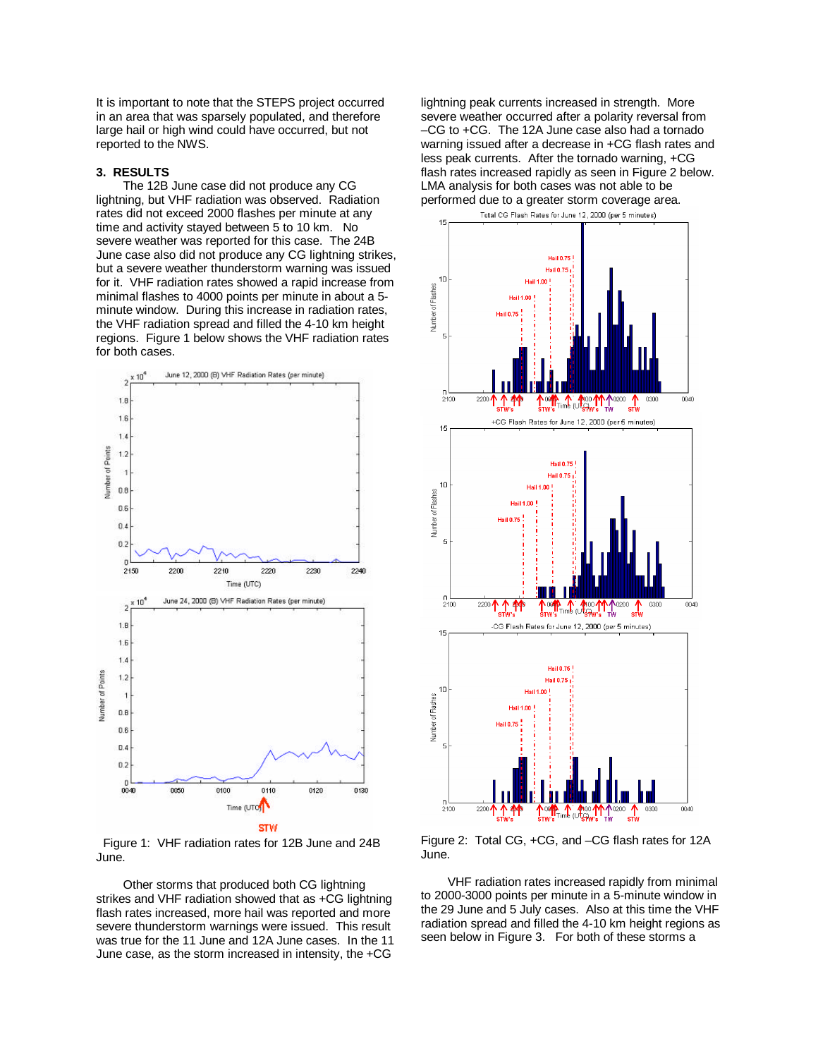It is important to note that the STEPS project occurred in an area that was sparsely populated, and therefore large hail or high wind could have occurred, but not reported to the NWS.

### **3. RESULTS**

 The 12B June case did not produce any CG lightning, but VHF radiation was observed. Radiation rates did not exceed 2000 flashes per minute at any time and activity stayed between 5 to 10 km. No severe weather was reported for this case. The 24B June case also did not produce any CG lightning strikes, but a severe weather thunderstorm warning was issued for it. VHF radiation rates showed a rapid increase from minimal flashes to 4000 points per minute in about a 5 minute window. During this increase in radiation rates, the VHF radiation spread and filled the 4-10 km height regions. Figure 1 below shows the VHF radiation rates for both cases.



 Figure 1: VHF radiation rates for 12B June and 24B June.

 Other storms that produced both CG lightning strikes and VHF radiation showed that as +CG lightning flash rates increased, more hail was reported and more severe thunderstorm warnings were issued. This result was true for the 11 June and 12A June cases. In the 11 June case, as the storm increased in intensity, the +CG

lightning peak currents increased in strength. More severe weather occurred after a polarity reversal from –CG to +CG. The 12A June case also had a tornado warning issued after a decrease in +CG flash rates and less peak currents. After the tornado warning, +CG flash rates increased rapidly as seen in Figure 2 below. LMA analysis for both cases was not able to be performed due to a greater storm coverage area.





Figure 2: Total CG, +CG, and –CG flash rates for 12A June.

 VHF radiation rates increased rapidly from minimal to 2000-3000 points per minute in a 5-minute window in the 29 June and 5 July cases. Also at this time the VHF radiation spread and filled the 4-10 km height regions as seen below in Figure 3. For both of these storms a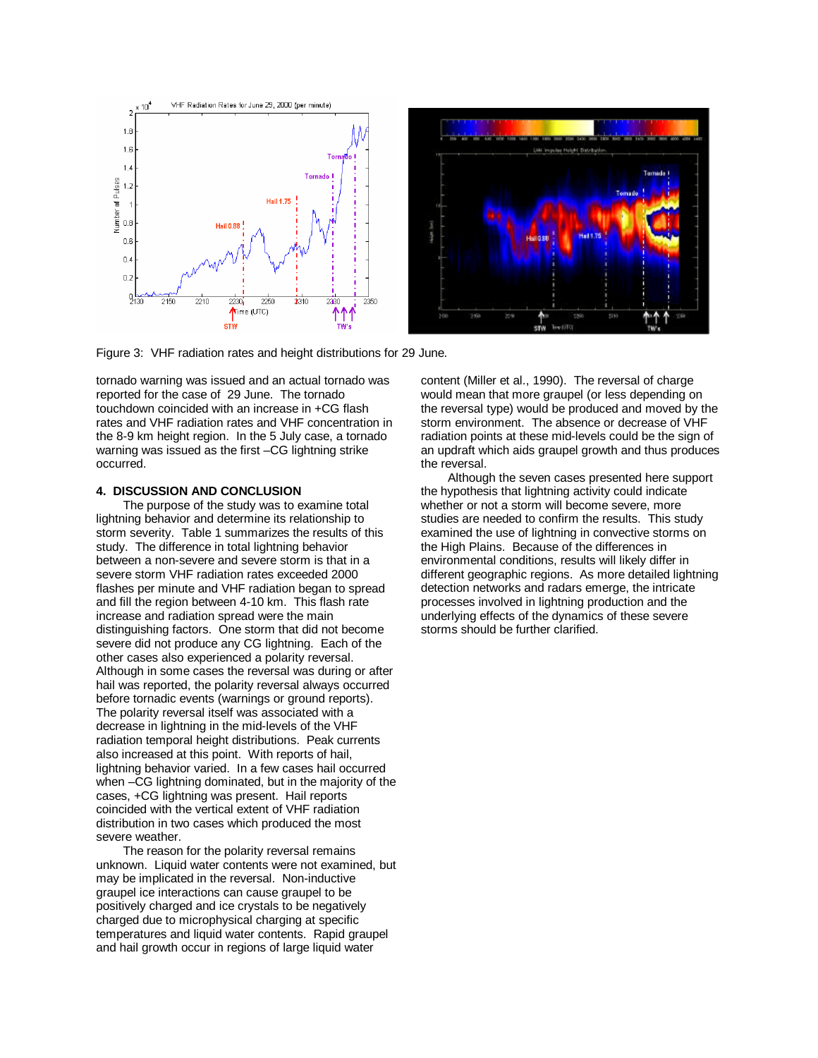

Figure 3: VHF radiation rates and height distributions for 29 June.

tornado warning was issued and an actual tornado was reported for the case of 29 June. The tornado touchdown coincided with an increase in +CG flash rates and VHF radiation rates and VHF concentration in the 8-9 km height region. In the 5 July case, a tornado warning was issued as the first –CG lightning strike occurred.

### **4. DISCUSSION AND CONCLUSION**

 The purpose of the study was to examine total lightning behavior and determine its relationship to storm severity. Table 1 summarizes the results of this study. The difference in total lightning behavior between a non-severe and severe storm is that in a severe storm VHF radiation rates exceeded 2000 flashes per minute and VHF radiation began to spread and fill the region between 4-10 km. This flash rate increase and radiation spread were the main distinguishing factors. One storm that did not become severe did not produce any CG lightning. Each of the other cases also experienced a polarity reversal. Although in some cases the reversal was during or after hail was reported, the polarity reversal always occurred before tornadic events (warnings or ground reports). The polarity reversal itself was associated with a decrease in lightning in the mid-levels of the VHF radiation temporal height distributions. Peak currents also increased at this point. With reports of hail, lightning behavior varied. In a few cases hail occurred when –CG lightning dominated, but in the majority of the cases, +CG lightning was present. Hail reports coincided with the vertical extent of VHF radiation distribution in two cases which produced the most severe weather.

 The reason for the polarity reversal remains unknown. Liquid water contents were not examined, but may be implicated in the reversal. Non-inductive graupel ice interactions can cause graupel to be positively charged and ice crystals to be negatively charged due to microphysical charging at specific temperatures and liquid water contents. Rapid graupel and hail growth occur in regions of large liquid water

content (Miller et al., 1990). The reversal of charge would mean that more graupel (or less depending on the reversal type) would be produced and moved by the storm environment. The absence or decrease of VHF radiation points at these mid-levels could be the sign of an updraft which aids graupel growth and thus produces the reversal.

 Although the seven cases presented here support the hypothesis that lightning activity could indicate whether or not a storm will become severe, more studies are needed to confirm the results. This study examined the use of lightning in convective storms on the High Plains. Because of the differences in environmental conditions, results will likely differ in different geographic regions. As more detailed lightning detection networks and radars emerge, the intricate processes involved in lightning production and the underlying effects of the dynamics of these severe storms should be further clarified.